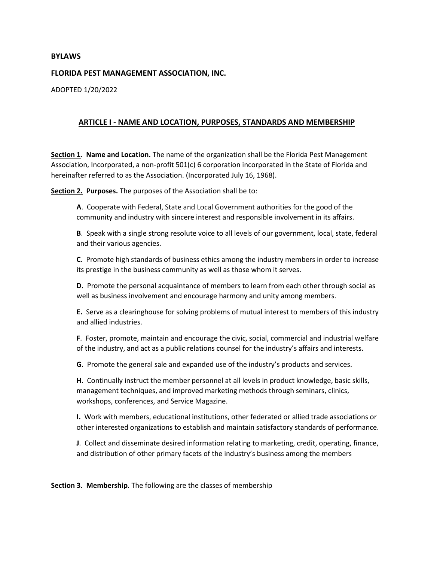### **BYLAWS**

### **FLORIDA PEST MANAGEMENT ASSOCIATION, INC.**

ADOPTED 1/20/2022

### **ARTICLE I - NAME AND LOCATION, PURPOSES, STANDARDS AND MEMBERSHIP**

**Section 1**. **Name and Location.** The name of the organization shall be the Florida Pest Management Association, Incorporated, a non-profit 501(c) 6 corporation incorporated in the State of Florida and hereinafter referred to as the Association. (Incorporated July 16, 1968).

**Section 2. Purposes.** The purposes of the Association shall be to:

**A**. Cooperate with Federal, State and Local Government authorities for the good of the community and industry with sincere interest and responsible involvement in its affairs.

**B**. Speak with a single strong resolute voice to all levels of our government, local, state, federal and their various agencies.

**C**. Promote high standards of business ethics among the industry members in order to increase its prestige in the business community as well as those whom it serves.

**D.** Promote the personal acquaintance of members to learn from each other through social as well as business involvement and encourage harmony and unity among members.

**E.** Serve as a clearinghouse for solving problems of mutual interest to members of this industry and allied industries.

**F**. Foster, promote, maintain and encourage the civic, social, commercial and industrial welfare of the industry, and act as a public relations counsel for the industry's affairs and interests.

**G.** Promote the general sale and expanded use of the industry's products and services.

**H**. Continually instruct the member personnel at all levels in product knowledge, basic skills, management techniques, and improved marketing methods through seminars, clinics, workshops, conferences, and Service Magazine.

**I.** Work with members, educational institutions, other federated or allied trade associations or other interested organizations to establish and maintain satisfactory standards of performance.

**J**. Collect and disseminate desired information relating to marketing, credit, operating, finance, and distribution of other primary facets of the industry's business among the members

**Section 3. Membership.** The following are the classes of membership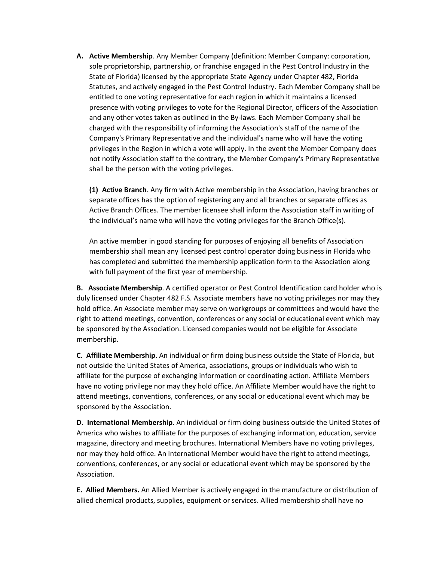**A. Active Membership**. Any Member Company (definition: Member Company: corporation, sole proprietorship, partnership, or franchise engaged in the Pest Control Industry in the State of Florida) licensed by the appropriate State Agency under Chapter 482, Florida Statutes, and actively engaged in the Pest Control Industry. Each Member Company shall be entitled to one voting representative for each region in which it maintains a licensed presence with voting privileges to vote for the Regional Director, officers of the Association and any other votes taken as outlined in the By-laws. Each Member Company shall be charged with the responsibility of informing the Association's staff of the name of the Company's Primary Representative and the individual's name who will have the voting privileges in the Region in which a vote will apply. In the event the Member Company does not notify Association staff to the contrary, the Member Company's Primary Representative shall be the person with the voting privileges.

**(1) Active Branch**. Any firm with Active membership in the Association, having branches or separate offices has the option of registering any and all branches or separate offices as Active Branch Offices. The member licensee shall inform the Association staff in writing of the individual's name who will have the voting privileges for the Branch Office(s).

An active member in good standing for purposes of enjoying all benefits of Association membership shall mean any licensed pest control operator doing business in Florida who has completed and submitted the membership application form to the Association along with full payment of the first year of membership.

**B. Associate Membership**. A certified operator or Pest Control Identification card holder who is duly licensed under Chapter 482 F.S. Associate members have no voting privileges nor may they hold office. An Associate member may serve on workgroups or committees and would have the right to attend meetings, convention, conferences or any social or educational event which may be sponsored by the Association. Licensed companies would not be eligible for Associate membership.

**C. Affiliate Membership**. An individual or firm doing business outside the State of Florida, but not outside the United States of America, associations, groups or individuals who wish to affiliate for the purpose of exchanging information or coordinating action. Affiliate Members have no voting privilege nor may they hold office. An Affiliate Member would have the right to attend meetings, conventions, conferences, or any social or educational event which may be sponsored by the Association.

**D. International Membership**. An individual or firm doing business outside the United States of America who wishes to affiliate for the purposes of exchanging information, education, service magazine, directory and meeting brochures. International Members have no voting privileges, nor may they hold office. An International Member would have the right to attend meetings, conventions, conferences, or any social or educational event which may be sponsored by the Association.

**E. Allied Members.** An Allied Member is actively engaged in the manufacture or distribution of allied chemical products, supplies, equipment or services. Allied membership shall have no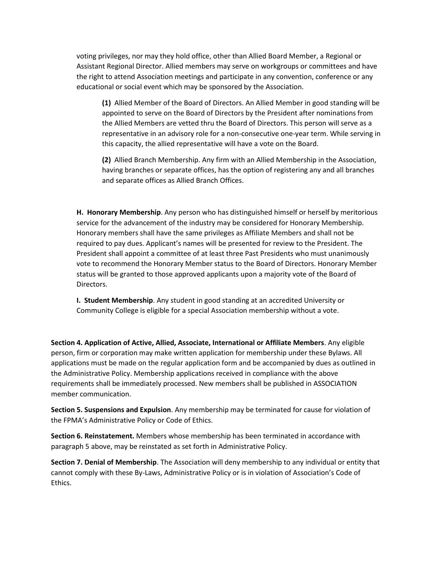voting privileges, nor may they hold office, other than Allied Board Member, a Regional or Assistant Regional Director. Allied members may serve on workgroups or committees and have the right to attend Association meetings and participate in any convention, conference or any educational or social event which may be sponsored by the Association.

**(1)** Allied Member of the Board of Directors. An Allied Member in good standing will be appointed to serve on the Board of Directors by the President after nominations from the Allied Members are vetted thru the Board of Directors. This person will serve as a representative in an advisory role for a non-consecutive one-year term. While serving in this capacity, the allied representative will have a vote on the Board.

**(2)** Allied Branch Membership. Any firm with an Allied Membership in the Association, having branches or separate offices, has the option of registering any and all branches and separate offices as Allied Branch Offices.

**H. Honorary Membership**. Any person who has distinguished himself or herself by meritorious service for the advancement of the industry may be considered for Honorary Membership. Honorary members shall have the same privileges as Affiliate Members and shall not be required to pay dues. Applicant's names will be presented for review to the President. The President shall appoint a committee of at least three Past Presidents who must unanimously vote to recommend the Honorary Member status to the Board of Directors. Honorary Member status will be granted to those approved applicants upon a majority vote of the Board of Directors.

**I. Student Membership**. Any student in good standing at an accredited University or Community College is eligible for a special Association membership without a vote.

**Section 4. Application of Active, Allied, Associate, International or Affiliate Members**. Any eligible person, firm or corporation may make written application for membership under these Bylaws. All applications must be made on the regular application form and be accompanied by dues as outlined in the Administrative Policy. Membership applications received in compliance with the above requirements shall be immediately processed. New members shall be published in ASSOCIATION member communication.

**Section 5. Suspensions and Expulsion**. Any membership may be terminated for cause for violation of the FPMA's Administrative Policy or Code of Ethics.

**Section 6. Reinstatement.** Members whose membership has been terminated in accordance with paragraph 5 above, may be reinstated as set forth in Administrative Policy.

**Section 7. Denial of Membership**. The Association will deny membership to any individual or entity that cannot comply with these By-Laws, Administrative Policy or is in violation of Association's Code of Ethics.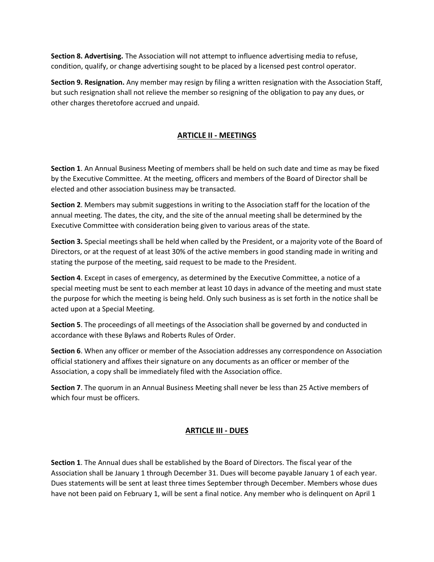**Section 8. Advertising.** The Association will not attempt to influence advertising media to refuse, condition, qualify, or change advertising sought to be placed by a licensed pest control operator.

**Section 9. Resignation.** Any member may resign by filing a written resignation with the Association Staff, but such resignation shall not relieve the member so resigning of the obligation to pay any dues, or other charges theretofore accrued and unpaid.

# **ARTICLE II - MEETINGS**

**Section 1**. An Annual Business Meeting of members shall be held on such date and time as may be fixed by the Executive Committee. At the meeting, officers and members of the Board of Director shall be elected and other association business may be transacted.

**Section 2**. Members may submit suggestions in writing to the Association staff for the location of the annual meeting. The dates, the city, and the site of the annual meeting shall be determined by the Executive Committee with consideration being given to various areas of the state.

**Section 3.** Special meetings shall be held when called by the President, or a majority vote of the Board of Directors, or at the request of at least 30% of the active members in good standing made in writing and stating the purpose of the meeting, said request to be made to the President.

**Section 4**. Except in cases of emergency, as determined by the Executive Committee, a notice of a special meeting must be sent to each member at least 10 days in advance of the meeting and must state the purpose for which the meeting is being held. Only such business as is set forth in the notice shall be acted upon at a Special Meeting.

**Section 5**. The proceedings of all meetings of the Association shall be governed by and conducted in accordance with these Bylaws and Roberts Rules of Order.

**Section 6**. When any officer or member of the Association addresses any correspondence on Association official stationery and affixes their signature on any documents as an officer or member of the Association, a copy shall be immediately filed with the Association office.

**Section 7**. The quorum in an Annual Business Meeting shall never be less than 25 Active members of which four must be officers.

## **ARTICLE III - DUES**

**Section 1**. The Annual dues shall be established by the Board of Directors. The fiscal year of the Association shall be January 1 through December 31. Dues will become payable January 1 of each year. Dues statements will be sent at least three times September through December. Members whose dues have not been paid on February 1, will be sent a final notice. Any member who is delinquent on April 1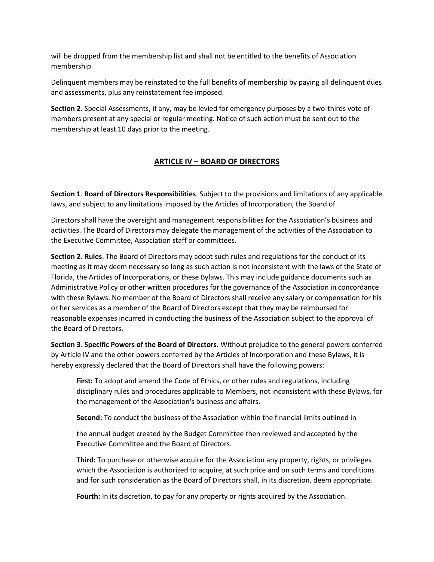will be dropped from the membership list and shall not be entitled to the benefits of Association membership.

Delinquent members may be reinstated to the full benefits of membership by paying all delinquent dues and assessments, plus any reinstatement fee imposed.

**Section 2**. Special Assessments, if any, may be levied for emergency purposes by a two-thirds vote of members present at any special or regular meeting. Notice of such action must be sent out to the membership at least 10 days prior to the meeting.

# **ARTICLE IV – BOARD OF DIRECTORS**

**Section 1**. **Board of Directors Responsibilities**. Subject to the provisions and limitations of any applicable laws, and subject to any limitations imposed by the Articles of Incorporation, the Board of

Directors shall have the oversight and management responsibilities for the Association's business and activities. The Board of Directors may delegate the management of the activities of the Association to the Executive Committee, Association staff or committees.

**Section 2. Rules**. The Board of Directors may adopt such rules and regulations for the conduct of its meeting as it may deem necessary so long as such action is not inconsistent with the laws of the State of Florida, the Articles of Incorporations, or these Bylaws. This may include guidance documents such as Administrative Policy or other written procedures for the governance of the Association in concordance with these Bylaws. No member of the Board of Directors shall receive any salary or compensation for his or her services as a member of the Board of Directors except that they may be reimbursed for reasonable expenses incurred in conducting the business of the Association subject to the approval of the Board of Directors.

**Section 3. Specific Powers of the Board of Directors.** Without prejudice to the general powers conferred by Article IV and the other powers conferred by the Articles of Incorporation and these Bylaws, it is hereby expressly declared that the Board of Directors shall have the following powers:

**First:** To adopt and amend the Code of Ethics, or other rules and regulations, including disciplinary rules and procedures applicable to Members, not inconsistent with these Bylaws, for the management of the Association's business and affairs.

**Second:** To conduct the business of the Association within the financial limits outlined in

the annual budget created by the Budget Committee then reviewed and accepted by the Executive Committee and the Board of Directors.

**Third:** To purchase or otherwise acquire for the Association any property, rights, or privileges which the Association is authorized to acquire, at such price and on such terms and conditions and for such consideration as the Board of Directors shall, in its discretion, deem appropriate.

**Fourth:** In its discretion, to pay for any property or rights acquired by the Association.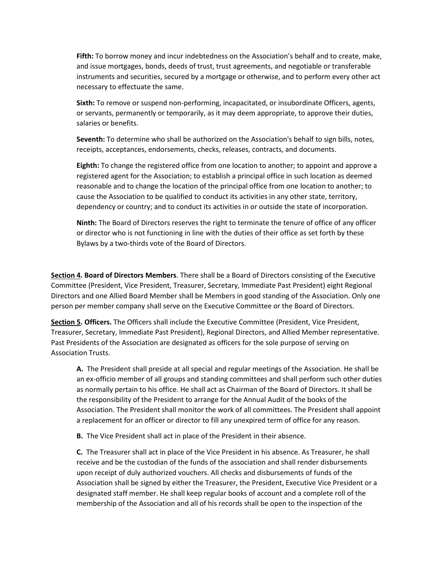**Fifth:** To borrow money and incur indebtedness on the Association's behalf and to create, make, and issue mortgages, bonds, deeds of trust, trust agreements, and negotiable or transferable instruments and securities, secured by a mortgage or otherwise, and to perform every other act necessary to effectuate the same.

**Sixth:** To remove or suspend non-performing, incapacitated, or insubordinate Officers, agents, or servants, permanently or temporarily, as it may deem appropriate, to approve their duties, salaries or benefits.

**Seventh:** To determine who shall be authorized on the Association's behalf to sign bills, notes, receipts, acceptances, endorsements, checks, releases, contracts, and documents.

**Eighth:** To change the registered office from one location to another; to appoint and approve a registered agent for the Association; to establish a principal office in such location as deemed reasonable and to change the location of the principal office from one location to another; to cause the Association to be qualified to conduct its activities in any other state, territory, dependency or country; and to conduct its activities in or outside the state of incorporation.

**Ninth:** The Board of Directors reserves the right to terminate the tenure of office of any officer or director who is not functioning in line with the duties of their office as set forth by these Bylaws by a two-thirds vote of the Board of Directors.

**Section 4. Board of Directors Members**. There shall be a Board of Directors consisting of the Executive Committee (President, Vice President, Treasurer, Secretary, Immediate Past President) eight Regional Directors and one Allied Board Member shall be Members in good standing of the Association. Only one person per member company shall serve on the Executive Committee or the Board of Directors.

**Section 5. Officers.** The Officers shall include the Executive Committee (President, Vice President, Treasurer, Secretary, Immediate Past President), Regional Directors, and Allied Member representative. Past Presidents of the Association are designated as officers for the sole purpose of serving on Association Trusts.

**A.** The President shall preside at all special and regular meetings of the Association. He shall be an ex-officio member of all groups and standing committees and shall perform such other duties as normally pertain to his office. He shall act as Chairman of the Board of Directors. It shall be the responsibility of the President to arrange for the Annual Audit of the books of the Association. The President shall monitor the work of all committees. The President shall appoint a replacement for an officer or director to fill any unexpired term of office for any reason.

**B.** The Vice President shall act in place of the President in their absence.

**C.** The Treasurer shall act in place of the Vice President in his absence. As Treasurer, he shall receive and be the custodian of the funds of the association and shall render disbursements upon receipt of duly authorized vouchers. All checks and disbursements of funds of the Association shall be signed by either the Treasurer, the President, Executive Vice President or a designated staff member. He shall keep regular books of account and a complete roll of the membership of the Association and all of his records shall be open to the inspection of the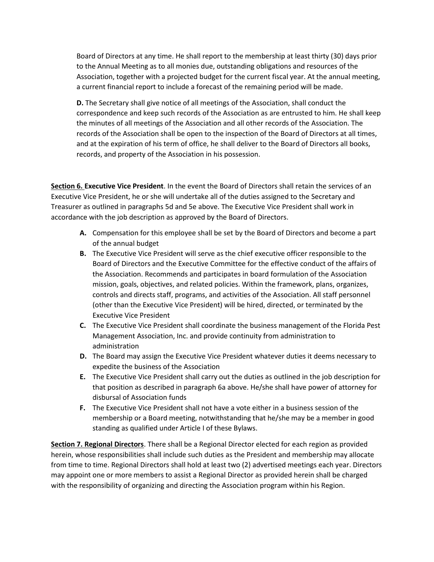Board of Directors at any time. He shall report to the membership at least thirty (30) days prior to the Annual Meeting as to all monies due, outstanding obligations and resources of the Association, together with a projected budget for the current fiscal year. At the annual meeting, a current financial report to include a forecast of the remaining period will be made.

**D.** The Secretary shall give notice of all meetings of the Association, shall conduct the correspondence and keep such records of the Association as are entrusted to him. He shall keep the minutes of all meetings of the Association and all other records of the Association. The records of the Association shall be open to the inspection of the Board of Directors at all times, and at the expiration of his term of office, he shall deliver to the Board of Directors all books, records, and property of the Association in his possession.

**Section 6. Executive Vice President**. In the event the Board of Directors shall retain the services of an Executive Vice President, he or she will undertake all of the duties assigned to the Secretary and Treasurer as outlined in paragraphs 5d and 5e above. The Executive Vice President shall work in accordance with the job description as approved by the Board of Directors.

- **A.** Compensation for this employee shall be set by the Board of Directors and become a part of the annual budget
- **B.** The Executive Vice President will serve as the chief executive officer responsible to the Board of Directors and the Executive Committee for the effective conduct of the affairs of the Association. Recommends and participates in board formulation of the Association mission, goals, objectives, and related policies. Within the framework, plans, organizes, controls and directs staff, programs, and activities of the Association. All staff personnel (other than the Executive Vice President) will be hired, directed, or terminated by the Executive Vice President
- **C.** The Executive Vice President shall coordinate the business management of the Florida Pest Management Association, Inc. and provide continuity from administration to administration
- **D.** The Board may assign the Executive Vice President whatever duties it deems necessary to expedite the business of the Association
- **E.** The Executive Vice President shall carry out the duties as outlined in the job description for that position as described in paragraph 6a above. He/she shall have power of attorney for disbursal of Association funds
- **F.** The Executive Vice President shall not have a vote either in a business session of the membership or a Board meeting, notwithstanding that he/she may be a member in good standing as qualified under Article I of these Bylaws.

**Section 7. Regional Directors**. There shall be a Regional Director elected for each region as provided herein, whose responsibilities shall include such duties as the President and membership may allocate from time to time. Regional Directors shall hold at least two (2) advertised meetings each year. Directors may appoint one or more members to assist a Regional Director as provided herein shall be charged with the responsibility of organizing and directing the Association program within his Region.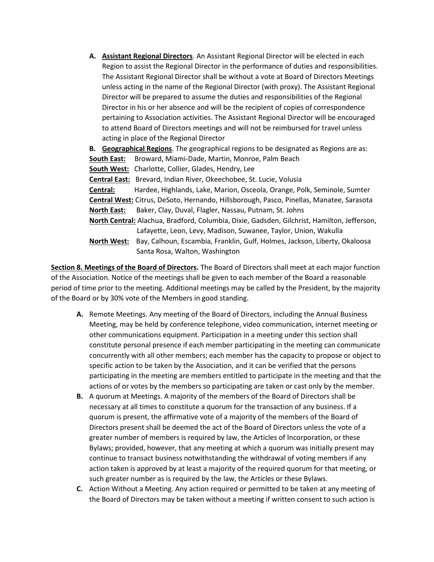**A. Assistant Regional Directors**. An Assistant Regional Director will be elected in each Region to assist the Regional Director in the performance of duties and responsibilities. The Assistant Regional Director shall be without a vote at Board of Directors Meetings unless acting in the name of the Regional Director (with proxy). The Assistant Regional Director will be prepared to assume the duties and responsibilities of the Regional Director in his or her absence and will be the recipient of copies of correspondence pertaining to Association activities. The Assistant Regional Director will be encouraged to attend Board of Directors meetings and will not be reimbursed for travel unless acting in place of the Regional Director

**B. Geographical Regions**. The geographical regions to be designated as Regions are as: **South East:** Broward, Miami-Dade, Martin, Monroe, Palm Beach **South West:** Charlotte, Collier, Glades, Hendry, Lee **Central East:** Brevard, Indian River, Okeechobee, St. Lucie, Volusia **Central:** Hardee, Highlands, Lake, Marion, Osceola, Orange, Polk, Seminole, Sumter **Central West:** Citrus, DeSoto, Hernando, Hillsborough, Pasco, Pinellas, Manatee, Sarasota **North East:** Baker, Clay, Duval, Flagler, Nassau, Putnam, St. Johns **North Central:** Alachua, Bradford, Columbia, Dixie, Gadsden, Gilchrist, Hamilton, Jefferson, Lafayette, Leon, Levy, Madison, Suwanee, Taylor, Union, Wakulla **North West:** Bay, Calhoun, Escambia, Franklin, Gulf, Holmes, Jackson, Liberty, Okaloosa Santa Rosa, Walton, Washington

**Section 8. Meetings of the Board of Directors.** The Board of Directors shall meet at each major function of the Association. Notice of the meetings shall be given to each member of the Board a reasonable period of time prior to the meeting. Additional meetings may be called by the President, by the majority of the Board or by 30% vote of the Members in good standing.

- **A.** Remote Meetings. Any meeting of the Board of Directors, including the Annual Business Meeting, may be held by conference telephone, video communication, internet meeting or other communications equipment. Participation in a meeting under this section shall constitute personal presence if each member participating in the meeting can communicate concurrently with all other members; each member has the capacity to propose or object to specific action to be taken by the Association, and it can be verified that the persons participating in the meeting are members entitled to participate in the meeting and that the actions of or votes by the members so participating are taken or cast only by the member.
- **B.** A quorum at Meetings. A majority of the members of the Board of Directors shall be necessary at all times to constitute a quorum for the transaction of any business. If a quorum is present, the affirmative vote of a majority of the members of the Board of Directors present shall be deemed the act of the Board of Directors unless the vote of a greater number of members is required by law, the Articles of Incorporation, or these Bylaws; provided, however, that any meeting at which a quorum was initially present may continue to transact business notwithstanding the withdrawal of voting members if any action taken is approved by at least a majority of the required quorum for that meeting, or such greater number as is required by the law, the Articles or these Bylaws.
- **C.** Action Without a Meeting. Any action required or permitted to be taken at any meeting of the Board of Directors may be taken without a meeting if written consent to such action is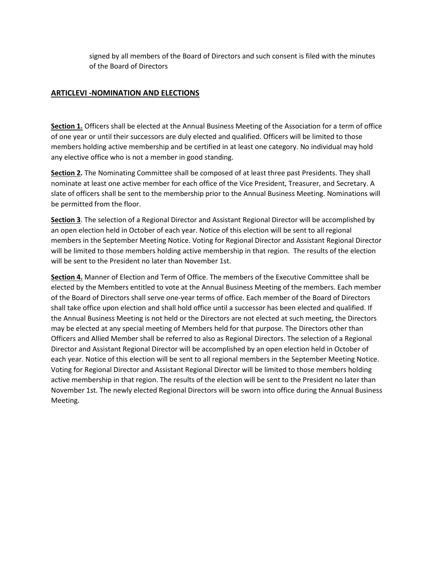signed by all members of the Board of Directors and such consent is filed with the minutes of the Board of Directors

## **ARTICLEVI -NOMINATION AND ELECTIONS**

**Section 1.** Officers shall be elected at the Annual Business Meeting of the Association for a term of office of one year or until their successors are duly elected and qualified. Officers will be limited to those members holding active membership and be certified in at least one category. No individual may hold any elective office who is not a member in good standing.

**Section 2.** The Nominating Committee shall be composed of at least three past Presidents. They shall nominate at least one active member for each office of the Vice President, Treasurer, and Secretary. A slate of officers shall be sent to the membership prior to the Annual Business Meeting. Nominations will be permitted from the floor.

**Section 3**. The selection of a Regional Director and Assistant Regional Director will be accomplished by an open election held in October of each year. Notice of this election will be sent to all regional members in the September Meeting Notice. Voting for Regional Director and Assistant Regional Director will be limited to those members holding active membership in that region. The results of the election will be sent to the President no later than November 1st.

**Section 4.** Manner of Election and Term of Office. The members of the Executive Committee shall be elected by the Members entitled to vote at the Annual Business Meeting of the members. Each member of the Board of Directors shall serve one-year terms of office. Each member of the Board of Directors shall take office upon election and shall hold office until a successor has been elected and qualified. If the Annual Business Meeting is not held or the Directors are not elected at such meeting, the Directors may be elected at any special meeting of Members held for that purpose. The Directors other than Officers and Allied Member shall be referred to also as Regional Directors. The selection of a Regional Director and Assistant Regional Director will be accomplished by an open election held in October of each year. Notice of this election will be sent to all regional members in the September Meeting Notice. Voting for Regional Director and Assistant Regional Director will be limited to those members holding active membership in that region. The results of the election will be sent to the President no later than November 1st. The newly elected Regional Directors will be sworn into office during the Annual Business Meeting.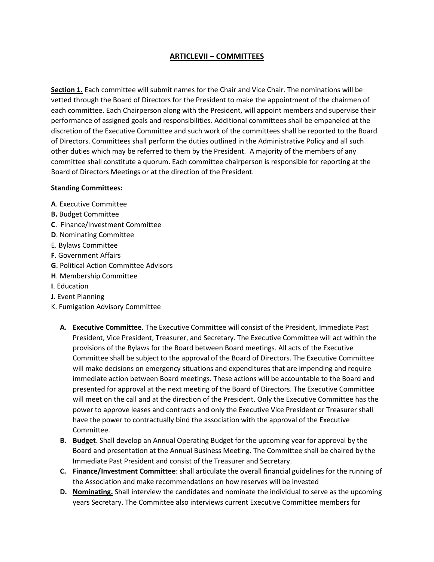# **ARTICLEVII – COMMITTEES**

**Section 1.** Each committee will submit names for the Chair and Vice Chair. The nominations will be vetted through the Board of Directors for the President to make the appointment of the chairmen of each committee. Each Chairperson along with the President, will appoint members and supervise their performance of assigned goals and responsibilities. Additional committees shall be empaneled at the discretion of the Executive Committee and such work of the committees shall be reported to the Board of Directors. Committees shall perform the duties outlined in the Administrative Policy and all such other duties which may be referred to them by the President. A majority of the members of any committee shall constitute a quorum. Each committee chairperson is responsible for reporting at the Board of Directors Meetings or at the direction of the President.

#### **Standing Committees:**

- **A**. Executive Committee
- **B.** Budget Committee
- **C**. Finance/Investment Committee
- **D**. Nominating Committee
- E. Bylaws Committee
- **F**. Government Affairs
- **G**. Political Action Committee Advisors
- **H**. Membership Committee
- **I**. Education
- **J**. Event Planning
- K. Fumigation Advisory Committee
	- **A. Executive Committee**. The Executive Committee will consist of the President, Immediate Past President, Vice President, Treasurer, and Secretary. The Executive Committee will act within the provisions of the Bylaws for the Board between Board meetings. All acts of the Executive Committee shall be subject to the approval of the Board of Directors. The Executive Committee will make decisions on emergency situations and expenditures that are impending and require immediate action between Board meetings. These actions will be accountable to the Board and presented for approval at the next meeting of the Board of Directors. The Executive Committee will meet on the call and at the direction of the President. Only the Executive Committee has the power to approve leases and contracts and only the Executive Vice President or Treasurer shall have the power to contractually bind the association with the approval of the Executive Committee.
	- **B. Budget**. Shall develop an Annual Operating Budget for the upcoming year for approval by the Board and presentation at the Annual Business Meeting. The Committee shall be chaired by the Immediate Past President and consist of the Treasurer and Secretary.
	- **C. Finance/Investment Committee**: shall articulate the overall financial guidelines for the running of the Association and make recommendations on how reserves will be invested
	- **D.** Nominating. Shall interview the candidates and nominate the individual to serve as the upcoming years Secretary. The Committee also interviews current Executive Committee members for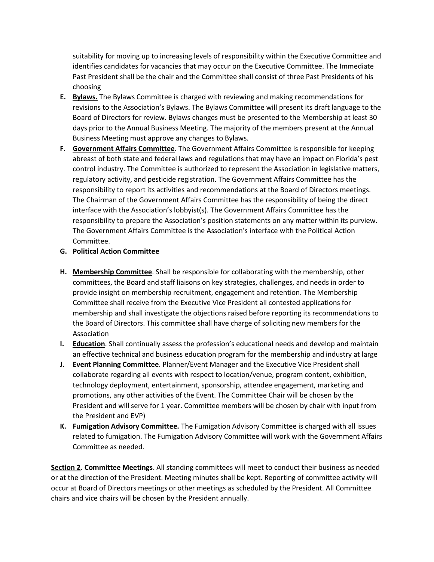suitability for moving up to increasing levels of responsibility within the Executive Committee and identifies candidates for vacancies that may occur on the Executive Committee. The Immediate Past President shall be the chair and the Committee shall consist of three Past Presidents of his choosing

- **E. Bylaws.** The Bylaws Committee is charged with reviewing and making recommendations for revisions to the Association's Bylaws. The Bylaws Committee will present its draft language to the Board of Directors for review. Bylaws changes must be presented to the Membership at least 30 days prior to the Annual Business Meeting. The majority of the members present at the Annual Business Meeting must approve any changes to Bylaws.
- **F. Government Affairs Committee**. The Government Affairs Committee is responsible for keeping abreast of both state and federal laws and regulations that may have an impact on Florida's pest control industry. The Committee is authorized to represent the Association in legislative matters, regulatory activity, and pesticide registration. The Government Affairs Committee has the responsibility to report its activities and recommendations at the Board of Directors meetings. The Chairman of the Government Affairs Committee has the responsibility of being the direct interface with the Association's lobbyist(s). The Government Affairs Committee has the responsibility to prepare the Association's position statements on any matter within its purview. The Government Affairs Committee is the Association's interface with the Political Action Committee.

## **G. Political Action Committee**

- **H. Membership Committee**. Shall be responsible for collaborating with the membership, other committees, the Board and staff liaisons on key strategies, challenges, and needs in order to provide insight on membership recruitment, engagement and retention. The Membership Committee shall receive from the Executive Vice President all contested applications for membership and shall investigate the objections raised before reporting its recommendations to the Board of Directors. This committee shall have charge of soliciting new members for the Association
- **I. Education**. Shall continually assess the profession's educational needs and develop and maintain an effective technical and business education program for the membership and industry at large
- **J. Event Planning Committee**. Planner/Event Manager and the Executive Vice President shall collaborate regarding all events with respect to location/venue, program content, exhibition, technology deployment, entertainment, sponsorship, attendee engagement, marketing and promotions, any other activities of the Event. The Committee Chair will be chosen by the President and will serve for 1 year. Committee members will be chosen by chair with input from the President and EVP)
- **K. Fumigation Advisory Committee.** The Fumigation Advisory Committee is charged with all issues related to fumigation. The Fumigation Advisory Committee will work with the Government Affairs Committee as needed.

**Section 2. Committee Meetings**. All standing committees will meet to conduct their business as needed or at the direction of the President. Meeting minutes shall be kept. Reporting of committee activity will occur at Board of Directors meetings or other meetings as scheduled by the President. All Committee chairs and vice chairs will be chosen by the President annually.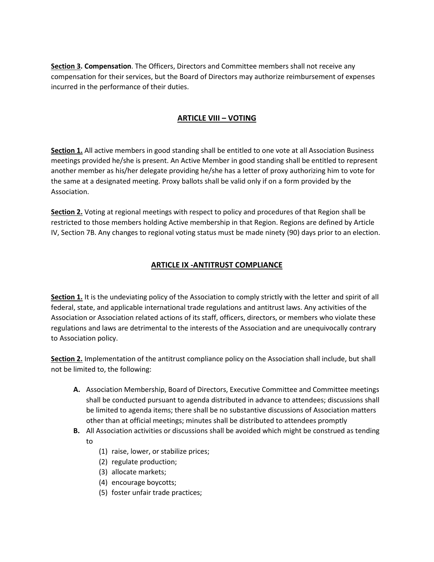**Section 3. Compensation**. The Officers, Directors and Committee members shall not receive any compensation for their services, but the Board of Directors may authorize reimbursement of expenses incurred in the performance of their duties.

## **ARTICLE VIII – VOTING**

**Section 1.** All active members in good standing shall be entitled to one vote at all Association Business meetings provided he/she is present. An Active Member in good standing shall be entitled to represent another member as his/her delegate providing he/she has a letter of proxy authorizing him to vote for the same at a designated meeting. Proxy ballots shall be valid only if on a form provided by the Association.

**Section 2.** Voting at regional meetings with respect to policy and procedures of that Region shall be restricted to those members holding Active membership in that Region. Regions are defined by Article IV, Section 7B. Any changes to regional voting status must be made ninety (90) days prior to an election.

# **ARTICLE IX -ANTITRUST COMPLIANCE**

**Section 1.** It is the undeviating policy of the Association to comply strictly with the letter and spirit of all federal, state, and applicable international trade regulations and antitrust laws. Any activities of the Association or Association related actions of its staff, officers, directors, or members who violate these regulations and laws are detrimental to the interests of the Association and are unequivocally contrary to Association policy.

**Section 2.** Implementation of the antitrust compliance policy on the Association shall include, but shall not be limited to, the following:

- **A.** Association Membership, Board of Directors, Executive Committee and Committee meetings shall be conducted pursuant to agenda distributed in advance to attendees; discussions shall be limited to agenda items; there shall be no substantive discussions of Association matters other than at official meetings; minutes shall be distributed to attendees promptly
- **B.** All Association activities or discussions shall be avoided which might be construed as tending to
	- (1) raise, lower, or stabilize prices;
	- (2) regulate production;
	- (3) allocate markets;
	- (4) encourage boycotts;
	- (5) foster unfair trade practices;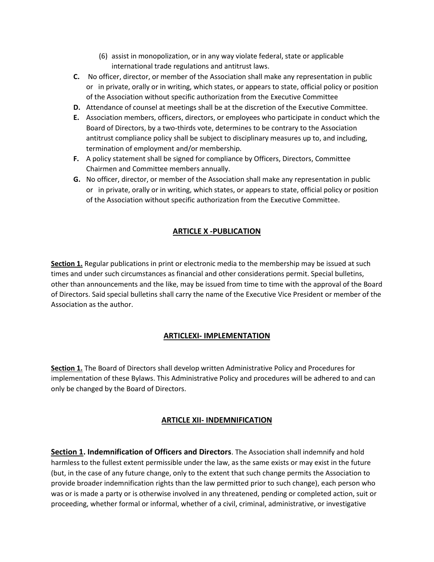- (6) assist in monopolization, or in any way violate federal, state or applicable international trade regulations and antitrust laws.
- **C.** No officer, director, or member of the Association shall make any representation in public or in private, orally or in writing, which states, or appears to state, official policy or position of the Association without specific authorization from the Executive Committee
- **D.** Attendance of counsel at meetings shall be at the discretion of the Executive Committee.
- **E.** Association members, officers, directors, or employees who participate in conduct which the Board of Directors, by a two-thirds vote, determines to be contrary to the Association antitrust compliance policy shall be subject to disciplinary measures up to, and including, termination of employment and/or membership.
- **F.** A policy statement shall be signed for compliance by Officers, Directors, Committee Chairmen and Committee members annually.
- **G.** No officer, director, or member of the Association shall make any representation in public or in private, orally or in writing, which states, or appears to state, official policy or position of the Association without specific authorization from the Executive Committee.

## **ARTICLE X -PUBLICATION**

**Section 1.** Regular publications in print or electronic media to the membership may be issued at such times and under such circumstances as financial and other considerations permit. Special bulletins, other than announcements and the like, may be issued from time to time with the approval of the Board of Directors. Said special bulletins shall carry the name of the Executive Vice President or member of the Association as the author.

### **ARTICLEXI- IMPLEMENTATION**

**Section 1.** The Board of Directors shall develop written Administrative Policy and Procedures for implementation of these Bylaws. This Administrative Policy and procedures will be adhered to and can only be changed by the Board of Directors.

### **ARTICLE XII- INDEMNIFICATION**

**Section 1. Indemnification of Officers and Directors**. The Association shall indemnify and hold harmless to the fullest extent permissible under the law, as the same exists or may exist in the future (but, in the case of any future change, only to the extent that such change permits the Association to provide broader indemnification rights than the law permitted prior to such change), each person who was or is made a party or is otherwise involved in any threatened, pending or completed action, suit or proceeding, whether formal or informal, whether of a civil, criminal, administrative, or investigative